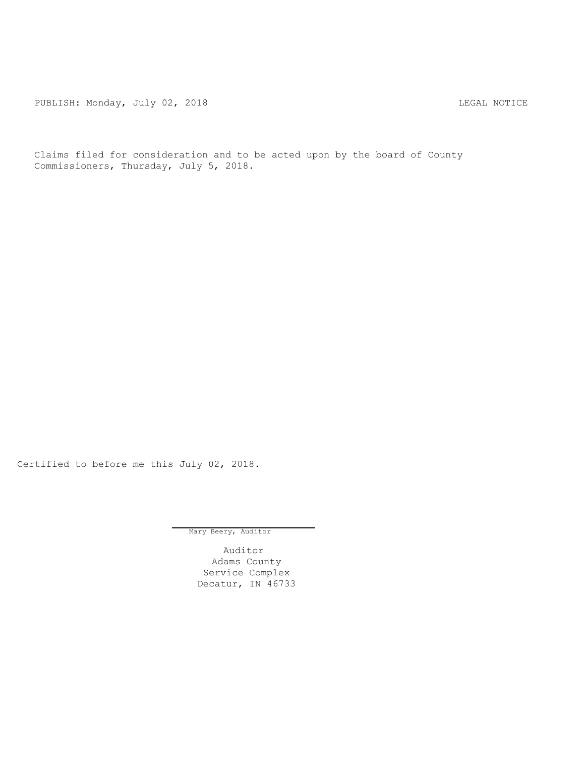PUBLISH: Monday, July 02, 2018 CHANGE CONSERVATION CONTROL REGAL NOTICE

Claims filed for consideration and to be acted upon by the board of County Commissioners, Thursday, July 5, 2018.

Certified to before me this July 02, 2018.

Mary Beery, Auditor

Auditor Adams County Service Complex Decatur, IN 46733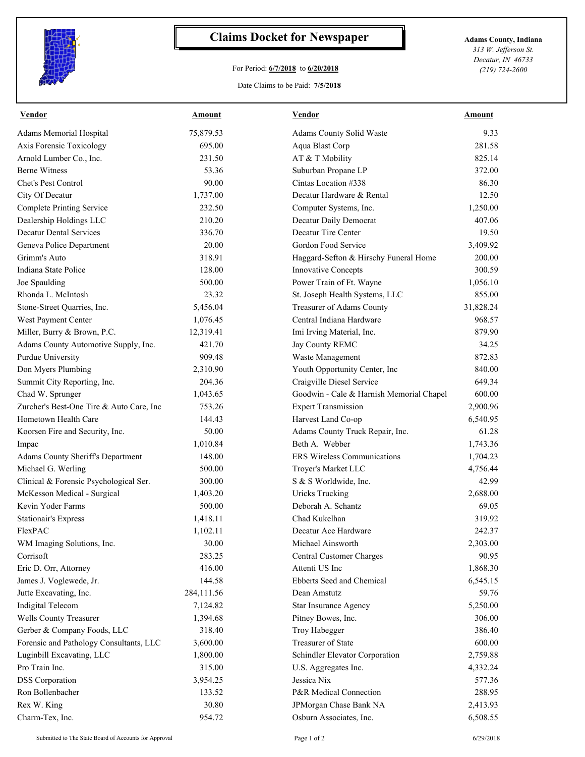

## **Claims Docket for Newspaper Adams County, Indiana**

## For Period: **6/7/2018** to **6/20/2018**

*313 W. Jefferson St. Decatur, IN 46733 (219) 724-2600*

## Date Claims to be Paid: **7/5/2018**

| Vendor                                   | Amount     | <b>Vendor</b>                            | Amount    |
|------------------------------------------|------------|------------------------------------------|-----------|
| Adams Memorial Hospital                  | 75,879.53  | Adams County Solid Waste                 | 9.33      |
| Axis Forensic Toxicology                 | 695.00     | Aqua Blast Corp                          | 281.58    |
| Arnold Lumber Co., Inc.                  | 231.50     | AT & T Mobility                          | 825.14    |
| <b>Berne Witness</b>                     | 53.36      | Suburban Propane LP                      | 372.00    |
| Chet's Pest Control                      | 90.00      | Cintas Location #338                     | 86.30     |
| City Of Decatur                          | 1,737.00   | Decatur Hardware & Rental                | 12.50     |
| <b>Complete Printing Service</b>         | 232.50     | Computer Systems, Inc.                   | 1,250.00  |
| Dealership Holdings LLC                  | 210.20     | Decatur Daily Democrat                   | 407.06    |
| <b>Decatur Dental Services</b>           | 336.70     | Decatur Tire Center                      | 19.50     |
| Geneva Police Department                 | 20.00      | Gordon Food Service                      | 3,409.92  |
| Grimm's Auto                             | 318.91     | Haggard-Sefton & Hirschy Funeral Home    | 200.00    |
| Indiana State Police                     | 128.00     | Innovative Concepts                      | 300.59    |
| Joe Spaulding                            | 500.00     | Power Train of Ft. Wayne                 | 1,056.10  |
| Rhonda L. McIntosh                       | 23.32      | St. Joseph Health Systems, LLC           | 855.00    |
| Stone-Street Quarries, Inc.              | 5,456.04   | Treasurer of Adams County                | 31,828.24 |
| West Payment Center                      | 1,076.45   | Central Indiana Hardware                 | 968.57    |
| Miller, Burry & Brown, P.C.              | 12,319.41  | Imi Irving Material, Inc.                | 879.90    |
| Adams County Automotive Supply, Inc.     | 421.70     | Jay County REMC                          | 34.25     |
| Purdue University                        | 909.48     | Waste Management                         | 872.83    |
| Don Myers Plumbing                       | 2,310.90   | Youth Opportunity Center, Inc            | 840.00    |
| Summit City Reporting, Inc.              | 204.36     | Craigville Diesel Service                | 649.34    |
| Chad W. Sprunger                         | 1,043.65   | Goodwin - Cale & Harnish Memorial Chapel | 600.00    |
| Zurcher's Best-One Tire & Auto Care, Inc | 753.26     | <b>Expert Transmission</b>               | 2,900.96  |
| Hometown Health Care                     | 144.43     | Harvest Land Co-op                       | 6,540.95  |
| Koorsen Fire and Security, Inc.          | 50.00      | Adams County Truck Repair, Inc.          | 61.28     |
| Impac                                    | 1,010.84   | Beth A. Webber                           | 1,743.36  |
| Adams County Sheriff's Department        | 148.00     | <b>ERS</b> Wireless Communications       | 1,704.23  |
| Michael G. Werling                       | 500.00     | Troyer's Market LLC                      | 4,756.44  |
| Clinical & Forensic Psychological Ser.   | 300.00     | S & S Worldwide, Inc.                    | 42.99     |
| McKesson Medical - Surgical              | 1,403.20   | <b>Uricks Trucking</b>                   | 2,688.00  |
| Kevin Yoder Farms                        | 500.00     | Deborah A. Schantz                       | 69.05     |
| <b>Stationair's Express</b>              | 1,418.11   | Chad Kukelhan                            | 319.92    |
| FlexPAC                                  | 1,102.11   | Decatur Ace Hardware                     | 242.37    |
| WM Imaging Solutions, Inc.               | 30.00      | Michael Ainsworth                        | 2,303.00  |
| Corrisoft                                | 283.25     | Central Customer Charges                 | 90.95     |
|                                          | 416.00     | Attenti US Inc                           | 1,868.30  |
| Eric D. Orr, Attorney                    |            | Ebberts Seed and Chemical                |           |
| James J. Voglewede, Jr.                  | 144.58     |                                          | 6,545.15  |
| Jutte Excavating, Inc.                   | 284,111.56 | Dean Amstutz                             | 59.76     |
| <b>Indigital Telecom</b>                 | 7,124.82   | Star Insurance Agency                    | 5,250.00  |
| Wells County Treasurer                   | 1,394.68   | Pitney Bowes, Inc.                       | 306.00    |
| Gerber & Company Foods, LLC              | 318.40     | Troy Habegger                            | 386.40    |
| Forensic and Pathology Consultants, LLC  | 3,600.00   | Treasurer of State                       | 600.00    |
| Luginbill Excavating, LLC                | 1,800.00   | Schindler Elevator Corporation           | 2,759.88  |
| Pro Train Inc.                           | 315.00     | U.S. Aggregates Inc.                     | 4,332.24  |
| <b>DSS</b> Corporation                   | 3,954.25   | Jessica Nix                              | 577.36    |
| Ron Bollenbacher                         | 133.52     | P&R Medical Connection                   | 288.95    |
| Rex W. King                              | 30.80      | JPMorgan Chase Bank NA                   | 2,413.93  |
| Charm-Tex, Inc.                          | 954.72     | Osburn Associates, Inc.                  | 6,508.55  |